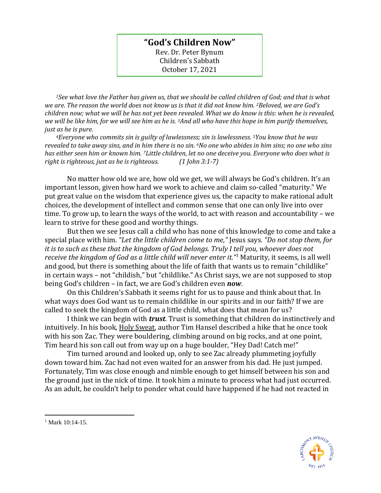## **"God's Children Now"**

Rev. Dr. Peter Bynum Children's Sabbath October 17, 2021

*<sup>1</sup>See what love the Father has given us, that we should be called children of God; and that is what we are. The reason the world does not know us is that it did not know him. 2Beloved, we are God's children now; what we will be has not yet been revealed. What we do know is this: when he is revealed, we will be like him, for we will see him as he is. 3And all who have this hope in him purify themselves, just as he is pure.*

*<sup>4</sup>Everyone who commits sin is guilty of lawlessness; sin is lawlessness. 5You know that he was revealed to take away sins, and in him there is no sin. 6No one who abides in him sins; no one who sins has either seen him or known him. 7Little children, let no one deceive you. Everyone who does what is right is righteous, just as he is righteous. (1 John 3:1-7)*

No matter how old we are, how old we get, we will always be God's children. It's an important lesson, given how hard we work to achieve and claim so-called "maturity." We put great value on the wisdom that experience gives us, the capacity to make rational adult choices, the development of intellect and common sense that one can only live into over time. To grow up, to learn the ways of the world, to act with reason and accountability – we learn to strive for these good and worthy things.

But then we see Jesus call a child who has none of this knowledge to come and take a special place with him. *"Let the little children come to me,"* Jesus says*. "Do not stop them, for it is to such as these that the kingdom of God belongs. Truly I tell you, whoever does not receive the kingdom of God as a little child will never enter it."<sup>1</sup>* Maturity, it seems, is all well and good, but there is something about the life of faith that wants us to remain "childlike" in certain ways – not "childish," but "childlike." As Christ says, we are not supposed to stop being God's children – in fact, we are God's children even *now*.

On this Children's Sabbath it seems right for us to pause and think about that. In what ways does God want us to remain childlike in our spirits and in our faith? If we are called to seek the kingdom of God as a little child, what does that mean for us?

I think we can begin with *trust*. Trust is something that children do instinctively and intuitively. In his book, Holy Sweat, author Tim Hansel described a hike that he once took with his son Zac. They were bouldering, climbing around on big rocks, and at one point, Tim heard his son call out from way up on a huge boulder, "Hey Dad! Catch me!"

Tim turned around and looked up, only to see Zac already plummeting joyfully down toward him. Zac had not even waited for an answer from his dad. He just jumped. Fortunately, Tim was close enough and nimble enough to get himself between his son and the ground just in the nick of time. It took him a minute to process what had just occurred. As an adult, he couldn't help to ponder what could have happened if he had not reacted in



<sup>&</sup>lt;sup>1</sup> Mark 10:14-15.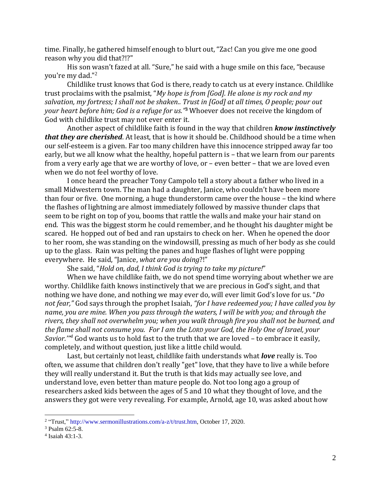time. Finally, he gathered himself enough to blurt out, "Zac! Can you give me one good reason why you did that?!?"

His son wasn't fazed at all. "Sure," he said with a huge smile on this face, "because you're my dad."<sup>2</sup>

Childlike trust knows that God is there, ready to catch us at every instance. Childlike trust proclaims with the psalmist, "*My hope is from [God]. He alone is my rock and my salvation, my fortress; I shall not be shaken.. Trust in [God] at all times, O people; pour out your heart before him; God is a refuge for us."* **<sup>3</sup>** Whoever does not receive the kingdom of God with childlike trust may not ever enter it.

Another aspect of childlike faith is found in the way that children *know instinctively that they are cherished*. At least, that is how it should be. Childhood should be a time when our self-esteem is a given. Far too many children have this innocence stripped away far too early, but we all know what the healthy, hopeful pattern is – that we learn from our parents from a very early age that we are worthy of love, or – even better – that we are loved even when we do not feel worthy of love.

I once heard the preacher Tony Campolo tell a story about a father who lived in a small Midwestern town. The man had a daughter, Janice, who couldn't have been more than four or five. One morning, a huge thunderstorm came over the house – the kind where the flashes of lightning are almost immediately followed by massive thunder claps that seem to be right on top of you, booms that rattle the walls and make your hair stand on end. This was the biggest storm he could remember, and he thought his daughter might be scared. He hopped out of bed and ran upstairs to check on her. When he opened the door to her room, she was standing on the windowsill, pressing as much of her body as she could up to the glass. Rain was pelting the panes and huge flashes of light were popping everywhere. He said, "Janice, *what are you doing*?!"

She said, "*Hold on, dad, I think God is trying to take my picture!*"

When we have childlike faith, we do not spend time worrying about whether we are worthy. Childlike faith knows instinctively that we are precious in God's sight, and that nothing we have done, and nothing we may ever do, will ever limit God's love for us. "*Do not fear,"* God says through the prophet Isaiah, *"for I have redeemed you; I have called you by name, you are mine. When you pass through the waters, I will be with you; and through the rivers, they shall not overwhelm you; when you walk through fire you shall not be burned, and the flame shall not consume you. For I am the LORD your God, the Holy One of Israel, your Savior.'" <sup>4</sup>* God wants us to hold fast to the truth that we are loved – to embrace it easily, completely, and without question, just like a little child would.

Last, but certainly not least, childlike faith understands what *love* really is. Too often, we assume that children don't really "get" love, that they have to live a while before they will really understand it. But the truth is that kids may actually see love, and understand love, even better than mature people do. Not too long ago a group of researchers asked kids between the ages of 5 and 10 what they thought of love, and the answers they got were very revealing. For example, Arnold, age 10, was asked about how

<sup>&</sup>lt;sup>2</sup> "Trust,[" http://www.sermonillustrations.com/a-z/t/trust.htm,](http://www.sermonillustrations.com/a-z/t/trust.htm) October 17, 2020.

 $3$  Psalm 62:5-8.

<sup>4</sup> Isaiah 43:1-3.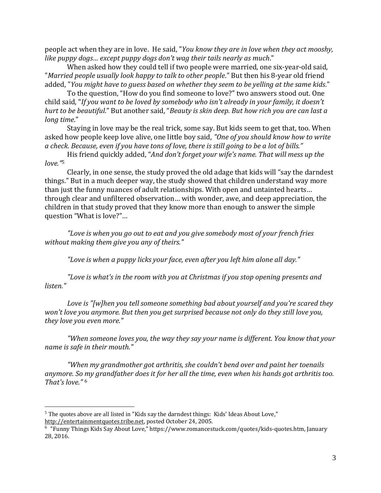people act when they are in love. He said, "*You know they are in love when they act mooshy, like puppy dogs… except puppy dogs don't wag their tails nearly as much*."

When asked how they could tell if two people were married, one six-year-old said, "*Married people usually look happy to talk to other people*." But then his 8-year old friend added, "*You might have to guess based on whether they seem to be yelling at the same kids*."

To the question, "How do you find someone to love?" two answers stood out. One child said, "*If you want to be loved by somebody who isn't already in your family, it doesn't hurt to be beautiful*." But another said, "*Beauty is skin deep. But how rich you are can last a long time*."

Staying in love may be the real trick, some say. But kids seem to get that, too. When asked how people keep love alive, one little boy said, *"One of you should know how to write a check. Because, even if you have tons of love, there is still going to be a lot of bills."*

His friend quickly added, "*And don't forget your wife's name. That will mess up the love."*<sup>5</sup>

Clearly, in one sense, the study proved the old adage that kids will "say the darndest things." But in a much deeper way, the study showed that children understand way more than just the funny nuances of adult relationships. With open and untainted hearts… through clear and unfiltered observation… with wonder, awe, and deep appreciation, the children in that study proved that they know more than enough to answer the simple question "What is love?"…

*"Love is when you go out to eat and you give somebody most of your french fries without making them give you any of theirs."*

*"Love is when a puppy licks your face, even after you left him alone all day."*

*"Love is what's in the room with you at Christmas if you stop opening presents and listen."*

*Love is "[w]hen you tell someone something bad about yourself and you're scared they won't love you anymore. But then you get surprised because not only do they still love you, they love you even more."*

*"When someone loves you, the way they say your name is different. You know that your name is safe in their mouth."*

*"When my grandmother got arthritis, she couldn't bend over and paint her toenails anymore. So my grandfather does it for her all the time, even when his hands got arthritis too. That's love."* <sup>6</sup>

 $<sup>5</sup>$  The quotes above are all listed in "Kids say the darndest things: Kids' Ideas About Love,"</sup> http://entertainmentquotes.tribe.net, posted October 24, 2005.

<sup>6</sup> "Funny Things Kids Say About Love," https://www.romancestuck.com/quotes/kids-quotes.htm, January 28, 2016.